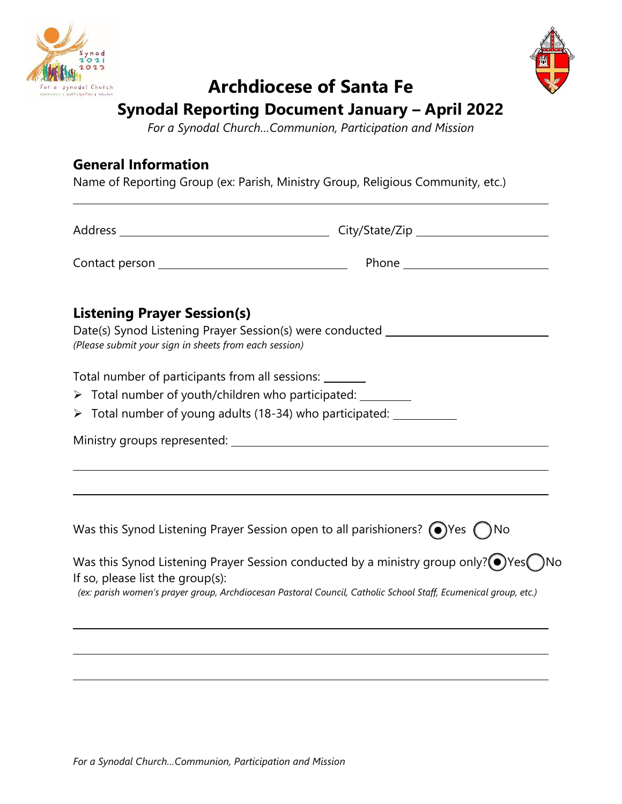



## **Archdiocese of Santa Fe**

## **Synodal Reporting Document January – April 2022**

*For a Synodal Church…Communion, Participation and Mission*

## **General Information**

Name of Reporting Group (ex: Parish, Ministry Group, Religious Community, etc.)

| <b>Listening Prayer Session(s)</b><br>Date(s) Synod Listening Prayer Session(s) were conducted _______________________<br>(Please submit your sign in sheets from each session)                                                                      |  |
|------------------------------------------------------------------------------------------------------------------------------------------------------------------------------------------------------------------------------------------------------|--|
| Total number of participants from all sessions:<br>$\triangleright$ Total number of youth/children who participated: __________<br>> Total number of young adults (18-34) who participated: __________                                               |  |
|                                                                                                                                                                                                                                                      |  |
|                                                                                                                                                                                                                                                      |  |
| Was this Synod Listening Prayer Session open to all parishioners? $\bigcirc$ Yes $\bigcirc$ No                                                                                                                                                       |  |
| Was this Synod Listening Prayer Session conducted by a ministry group only? $\bigcirc$ Yes No<br>If so, please list the group(s):<br>(ex: parish women's prayer group, Archdiocesan Pastoral Council, Catholic School Staff, Ecumenical group, etc.) |  |
|                                                                                                                                                                                                                                                      |  |